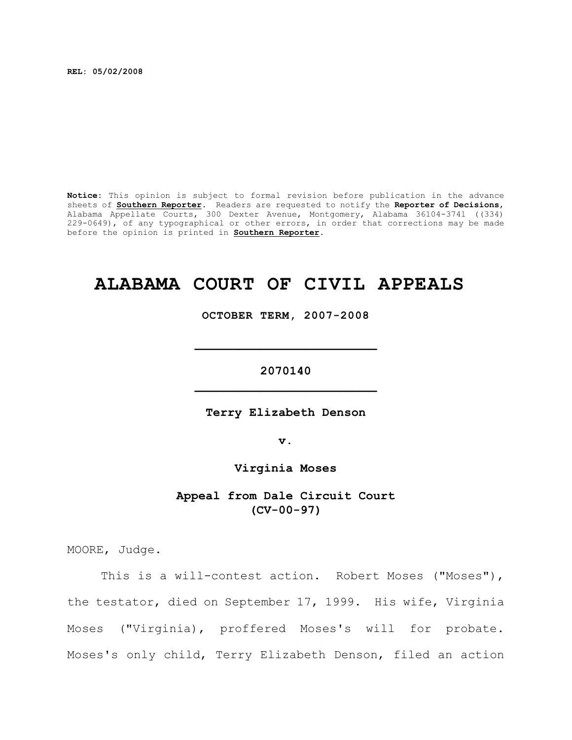**REL: 05/02/2008**

**Notice:** This opinion is subject to formal revision before publication in the advance sheets of **Southern Reporter**. Readers are requested to notify the **Reporter of Decisions**, Alabama Appellate Courts, 300 Dexter Avenue, Montgomery, Alabama 36104-3741 ((334) 229-0649), of any typographical or other errors, in order that corrections may be made before the opinion is printed in **Southern Reporter**.

# **ALABAMA COURT OF CIVIL APPEALS**

**OCTOBER TERM, 2007-2008**

**\_\_\_\_\_\_\_\_\_\_\_\_\_\_\_\_\_\_\_\_\_\_\_\_\_**

**2070140 \_\_\_\_\_\_\_\_\_\_\_\_\_\_\_\_\_\_\_\_\_\_\_\_\_**

**Terry Elizabeth Denson**

**v.**

**Virginia Moses**

**Appeal from Dale Circuit Court (CV-00-97)**

MOORE, Judge.

This is a will-contest action. Robert Moses ("Moses"), the testator, died on September 17, 1999. His wife, Virginia Moses ("Virginia), proffered Moses's will for probate. Moses's only child, Terry Elizabeth Denson, filed an action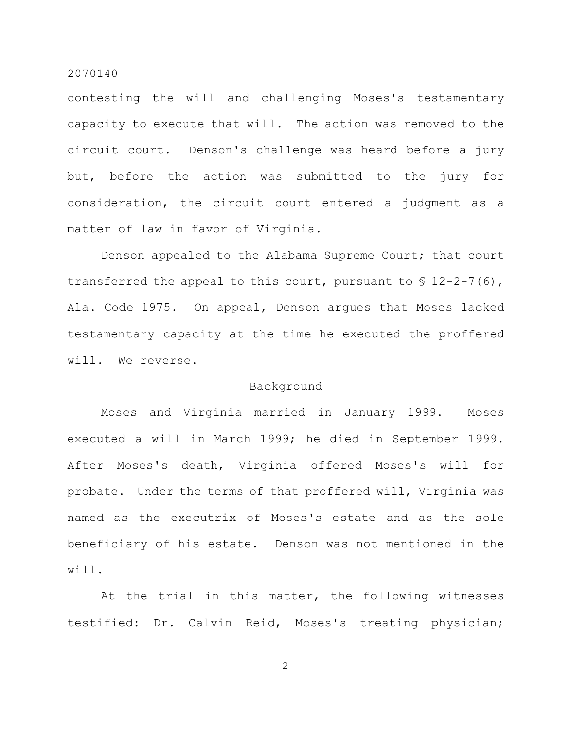contesting the will and challenging Moses's testamentary capacity to execute that will. The action was removed to the circuit court. Denson's challenge was heard before a jury but, before the action was submitted to the jury for consideration, the circuit court entered a judgment as a matter of law in favor of Virginia.

Denson appealed to the Alabama Supreme Court; that court transferred the appeal to this court, pursuant to  $\S$  12-2-7(6), Ala. Code 1975. On appeal, Denson argues that Moses lacked testamentary capacity at the time he executed the proffered will. We reverse.

## Background

Moses and Virginia married in January 1999. Moses executed a will in March 1999; he died in September 1999. After Moses's death, Virginia offered Moses's will for probate. Under the terms of that proffered will, Virginia was named as the executrix of Moses's estate and as the sole beneficiary of his estate. Denson was not mentioned in the will.

At the trial in this matter, the following witnesses testified: Dr. Calvin Reid, Moses's treating physician;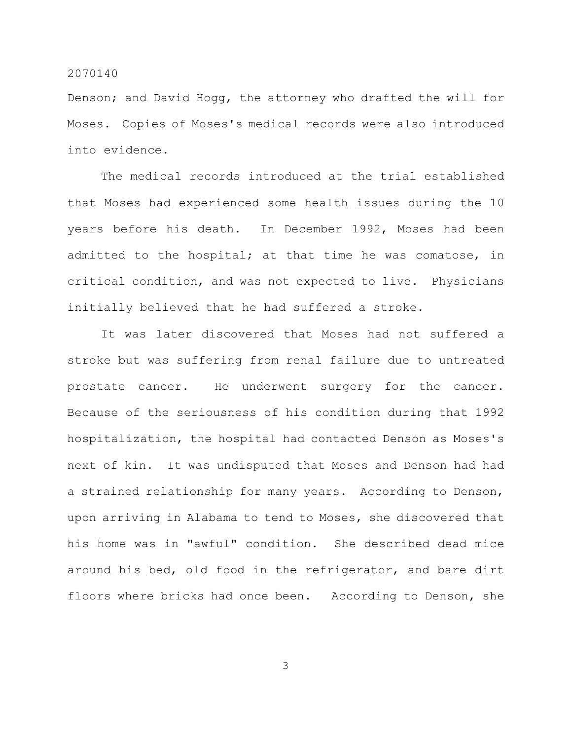Denson; and David Hogg, the attorney who drafted the will for Moses. Copies of Moses's medical records were also introduced into evidence.

The medical records introduced at the trial established that Moses had experienced some health issues during the 10 years before his death. In December 1992, Moses had been admitted to the hospital; at that time he was comatose, in critical condition, and was not expected to live. Physicians initially believed that he had suffered a stroke.

It was later discovered that Moses had not suffered a stroke but was suffering from renal failure due to untreated prostate cancer. He underwent surgery for the cancer. Because of the seriousness of his condition during that 1992 hospitalization, the hospital had contacted Denson as Moses's next of kin. It was undisputed that Moses and Denson had had a strained relationship for many years. According to Denson, upon arriving in Alabama to tend to Moses, she discovered that his home was in "awful" condition. She described dead mice around his bed, old food in the refrigerator, and bare dirt floors where bricks had once been. According to Denson, she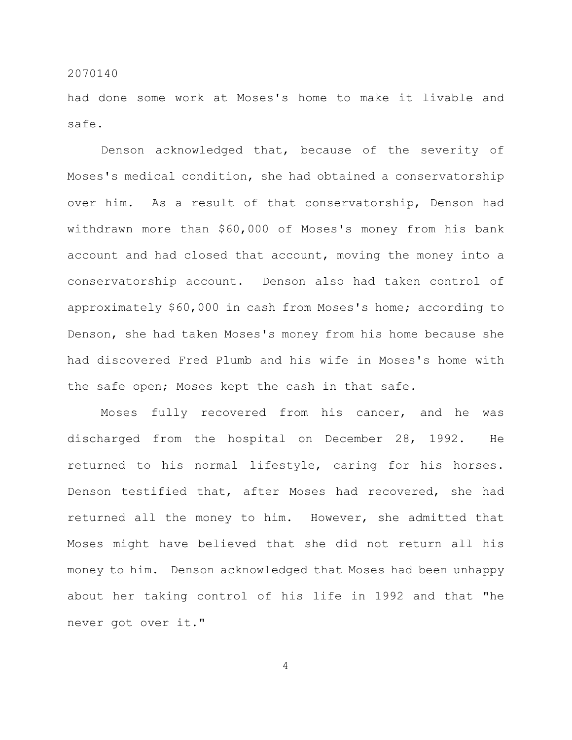had done some work at Moses's home to make it livable and safe.

Denson acknowledged that, because of the severity of Moses's medical condition, she had obtained a conservatorship over him. As a result of that conservatorship, Denson had withdrawn more than \$60,000 of Moses's money from his bank account and had closed that account, moving the money into a conservatorship account. Denson also had taken control of approximately \$60,000 in cash from Moses's home; according to Denson, she had taken Moses's money from his home because she had discovered Fred Plumb and his wife in Moses's home with the safe open; Moses kept the cash in that safe.

Moses fully recovered from his cancer, and he was discharged from the hospital on December 28, 1992. He returned to his normal lifestyle, caring for his horses. Denson testified that, after Moses had recovered, she had returned all the money to him. However, she admitted that Moses might have believed that she did not return all his money to him. Denson acknowledged that Moses had been unhappy about her taking control of his life in 1992 and that "he never got over it."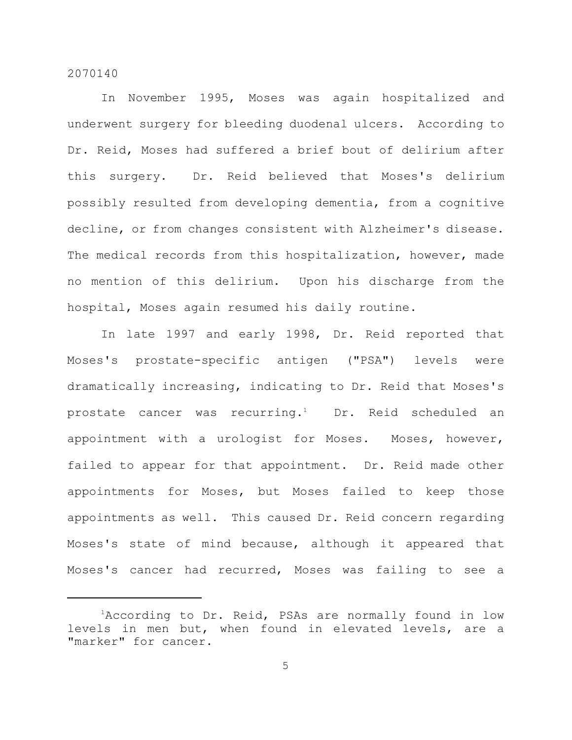In November 1995, Moses was again hospitalized and underwent surgery for bleeding duodenal ulcers. According to Dr. Reid, Moses had suffered a brief bout of delirium after this surgery. Dr. Reid believed that Moses's delirium possibly resulted from developing dementia, from a cognitive decline, or from changes consistent with Alzheimer's disease. The medical records from this hospitalization, however, made no mention of this delirium. Upon his discharge from the hospital, Moses again resumed his daily routine.

In late 1997 and early 1998, Dr. Reid reported that Moses's prostate-specific antigen ("PSA") levels were dramatically increasing, indicating to Dr. Reid that Moses's prostate cancer was recurring.<sup>1</sup> Dr. Reid scheduled an appointment with a urologist for Moses. Moses, however, failed to appear for that appointment. Dr. Reid made other appointments for Moses, but Moses failed to keep those appointments as well. This caused Dr. Reid concern regarding Moses's state of mind because, although it appeared that Moses's cancer had recurred, Moses was failing to see a

<sup>&</sup>lt;sup>1</sup>According to Dr. Reid, PSAs are normally found in low levels in men but, when found in elevated levels, are a "marker" for cancer.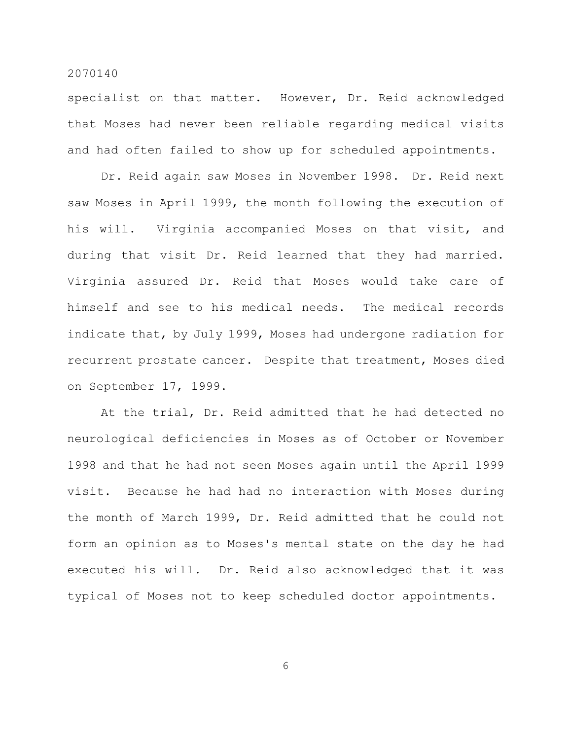specialist on that matter. However, Dr. Reid acknowledged that Moses had never been reliable regarding medical visits and had often failed to show up for scheduled appointments.

Dr. Reid again saw Moses in November 1998. Dr. Reid next saw Moses in April 1999, the month following the execution of his will. Virginia accompanied Moses on that visit, and during that visit Dr. Reid learned that they had married. Virginia assured Dr. Reid that Moses would take care of himself and see to his medical needs. The medical records indicate that, by July 1999, Moses had undergone radiation for recurrent prostate cancer. Despite that treatment, Moses died on September 17, 1999.

At the trial, Dr. Reid admitted that he had detected no neurological deficiencies in Moses as of October or November 1998 and that he had not seen Moses again until the April 1999 visit. Because he had had no interaction with Moses during the month of March 1999, Dr. Reid admitted that he could not form an opinion as to Moses's mental state on the day he had executed his will. Dr. Reid also acknowledged that it was typical of Moses not to keep scheduled doctor appointments.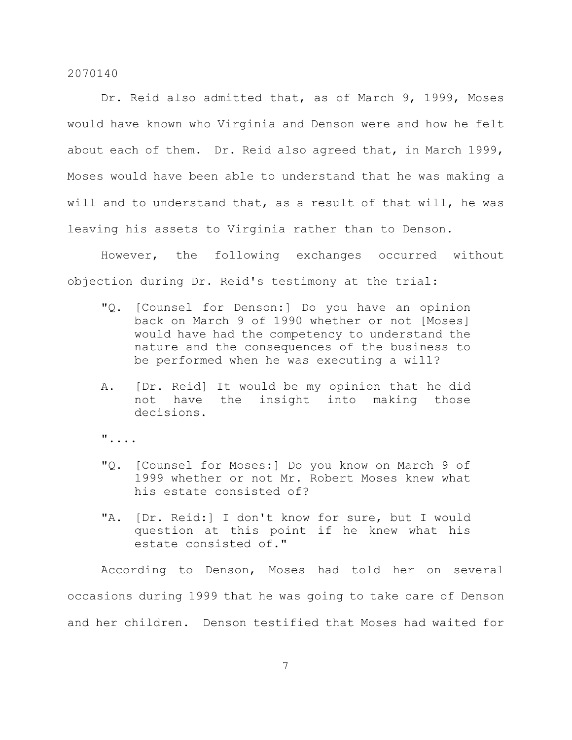Dr. Reid also admitted that, as of March 9, 1999, Moses would have known who Virginia and Denson were and how he felt about each of them. Dr. Reid also agreed that, in March 1999, Moses would have been able to understand that he was making a will and to understand that, as a result of that will, he was leaving his assets to Virginia rather than to Denson.

However, the following exchanges occurred without objection during Dr. Reid's testimony at the trial:

- "Q. [Counsel for Denson:] Do you have an opinion back on March 9 of 1990 whether or not [Moses] would have had the competency to understand the nature and the consequences of the business to be performed when he was executing a will?
- A. [Dr. Reid] It would be my opinion that he did not have the insight into making those decisions.
- "....
- "Q. [Counsel for Moses:] Do you know on March 9 of 1999 whether or not Mr. Robert Moses knew what his estate consisted of?
- "A. [Dr. Reid:] I don't know for sure, but I would question at this point if he knew what his estate consisted of."

According to Denson, Moses had told her on several occasions during 1999 that he was going to take care of Denson and her children. Denson testified that Moses had waited for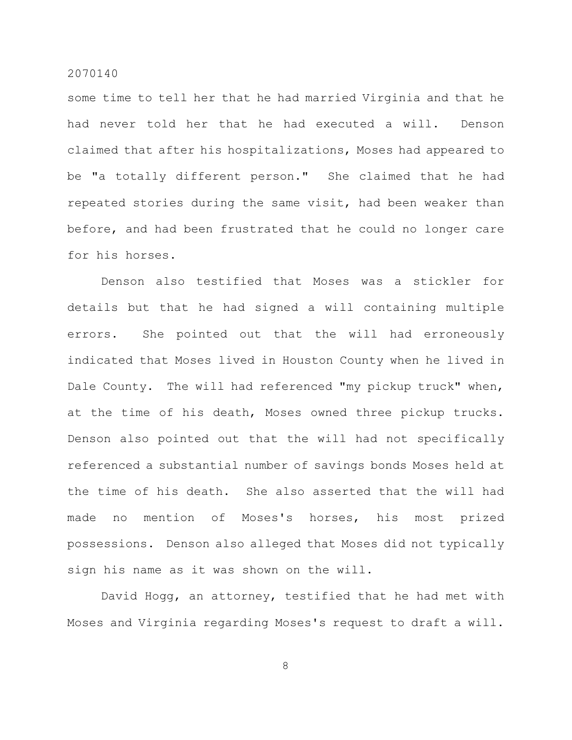some time to tell her that he had married Virginia and that he had never told her that he had executed a will. Denson claimed that after his hospitalizations, Moses had appeared to be "a totally different person." She claimed that he had repeated stories during the same visit, had been weaker than before, and had been frustrated that he could no longer care for his horses.

Denson also testified that Moses was a stickler for details but that he had signed a will containing multiple errors. She pointed out that the will had erroneously indicated that Moses lived in Houston County when he lived in Dale County. The will had referenced "my pickup truck" when, at the time of his death, Moses owned three pickup trucks. Denson also pointed out that the will had not specifically referenced a substantial number of savings bonds Moses held at the time of his death. She also asserted that the will had made no mention of Moses's horses, his most prized possessions. Denson also alleged that Moses did not typically sign his name as it was shown on the will.

David Hogg, an attorney, testified that he had met with Moses and Virginia regarding Moses's request to draft a will.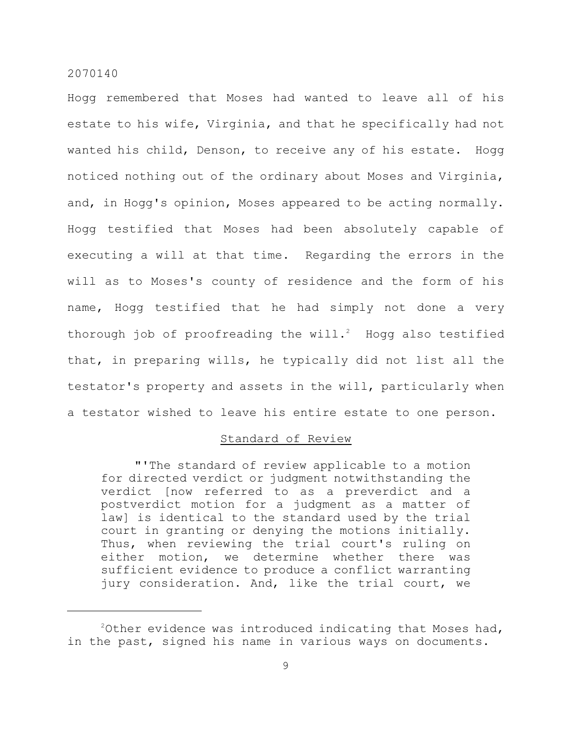Hogg remembered that Moses had wanted to leave all of his estate to his wife, Virginia, and that he specifically had not wanted his child, Denson, to receive any of his estate. Hogg noticed nothing out of the ordinary about Moses and Virginia, and, in Hogg's opinion, Moses appeared to be acting normally. Hogg testified that Moses had been absolutely capable of executing a will at that time. Regarding the errors in the will as to Moses's county of residence and the form of his name, Hogg testified that he had simply not done a very thorough job of proofreading the will.<sup>2</sup> Hogg also testified that, in preparing wills, he typically did not list all the testator's property and assets in the will, particularly when a testator wished to leave his entire estate to one person.

## Standard of Review

"'The standard of review applicable to a motion for directed verdict or judgment notwithstanding the verdict [now referred to as a preverdict and a postverdict motion for a judgment as a matter of law] is identical to the standard used by the trial court in granting or denying the motions initially. Thus, when reviewing the trial court's ruling on either motion, we determine whether there was sufficient evidence to produce a conflict warranting jury consideration. And, like the trial court, we

 $^{2}$ Other evidence was introduced indicating that Moses had, in the past, signed his name in various ways on documents.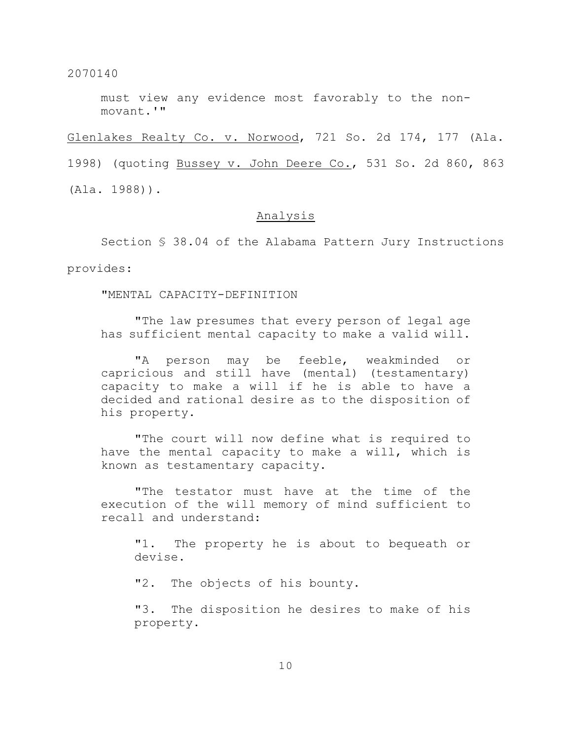must view any evidence most favorably to the nonmovant.'"

Glenlakes Realty Co. v. Norwood, 721 So. 2d 174, 177 (Ala.

1998) (quoting Bussey v. John Deere Co., 531 So. 2d 860, 863

(Ala. 1988)).

## Analysis

Section § 38.04 of the Alabama Pattern Jury Instructions

provides:

"MENTAL CAPACITY-DEFINITION

"The law presumes that every person of legal age has sufficient mental capacity to make a valid will.

"A person may be feeble, weakminded or capricious and still have (mental) (testamentary) capacity to make a will if he is able to have a decided and rational desire as to the disposition of his property.

"The court will now define what is required to have the mental capacity to make a will, which is known as testamentary capacity.

"The testator must have at the time of the execution of the will memory of mind sufficient to recall and understand:

"1. The property he is about to bequeath or devise.

"2. The objects of his bounty.

"3. The disposition he desires to make of his property.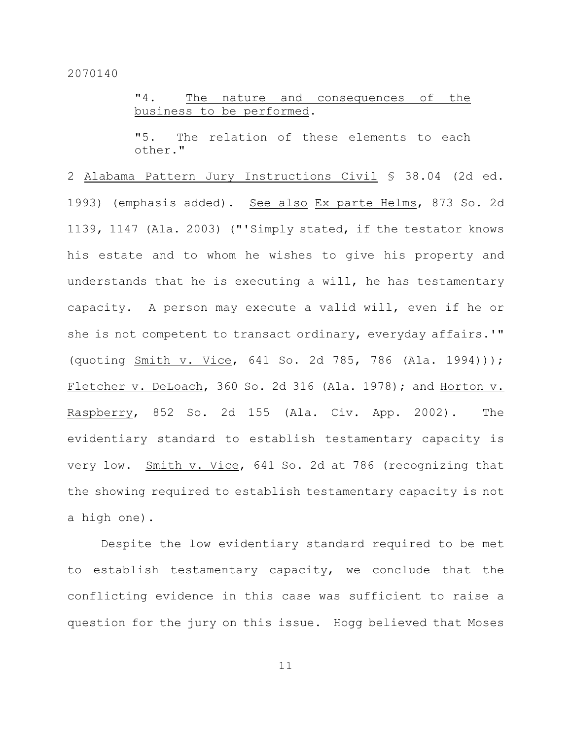"4. The nature and consequences of the business to be performed.

"5. The relation of these elements to each other."

2 Alabama Pattern Jury Instructions Civil § 38.04 (2d ed. 1993) (emphasis added). See also Ex parte Helms, 873 So. 2d 1139, 1147 (Ala. 2003) ("'Simply stated, if the testator knows his estate and to whom he wishes to give his property and understands that he is executing a will, he has testamentary capacity. A person may execute a valid will, even if he or she is not competent to transact ordinary, everyday affairs.'" (quoting Smith v. Vice, 641 So. 2d 785, 786 (Ala. 1994))); Fletcher v. DeLoach, 360 So. 2d 316 (Ala. 1978); and Horton v. Raspberry, 852 So. 2d 155 (Ala. Civ. App. 2002). The evidentiary standard to establish testamentary capacity is very low. Smith v. Vice, 641 So. 2d at 786 (recognizing that the showing required to establish testamentary capacity is not a high one).

Despite the low evidentiary standard required to be met to establish testamentary capacity, we conclude that the conflicting evidence in this case was sufficient to raise a question for the jury on this issue. Hogg believed that Moses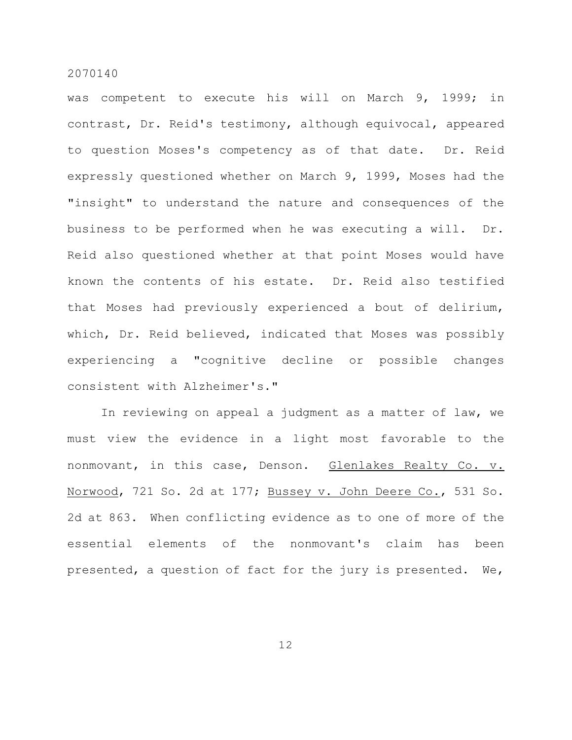was competent to execute his will on March 9, 1999; in contrast, Dr. Reid's testimony, although equivocal, appeared to question Moses's competency as of that date. Dr. Reid expressly questioned whether on March 9, 1999, Moses had the "insight" to understand the nature and consequences of the business to be performed when he was executing a will. Dr. Reid also questioned whether at that point Moses would have known the contents of his estate. Dr. Reid also testified that Moses had previously experienced a bout of delirium, which, Dr. Reid believed, indicated that Moses was possibly experiencing a "cognitive decline or possible changes consistent with Alzheimer's."

In reviewing on appeal a judgment as a matter of law, we must view the evidence in a light most favorable to the nonmovant, in this case, Denson. Glenlakes Realty Co. v. Norwood, 721 So. 2d at 177; Bussey v. John Deere Co., 531 So. 2d at 863. When conflicting evidence as to one of more of the essential elements of the nonmovant's claim has been presented, a question of fact for the jury is presented. We,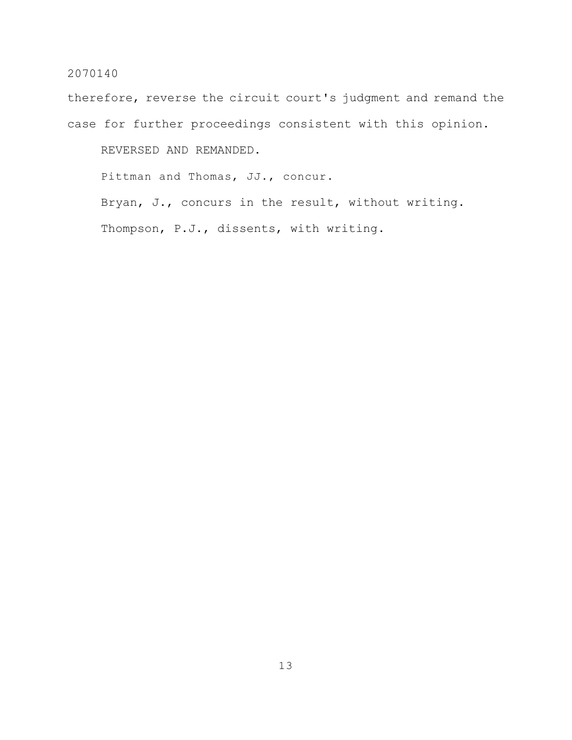therefore, reverse the circuit court's judgment and remand the case for further proceedings consistent with this opinion.

REVERSED AND REMANDED.

Pittman and Thomas, JJ., concur.

Bryan, J., concurs in the result, without writing.

Thompson, P.J., dissents, with writing.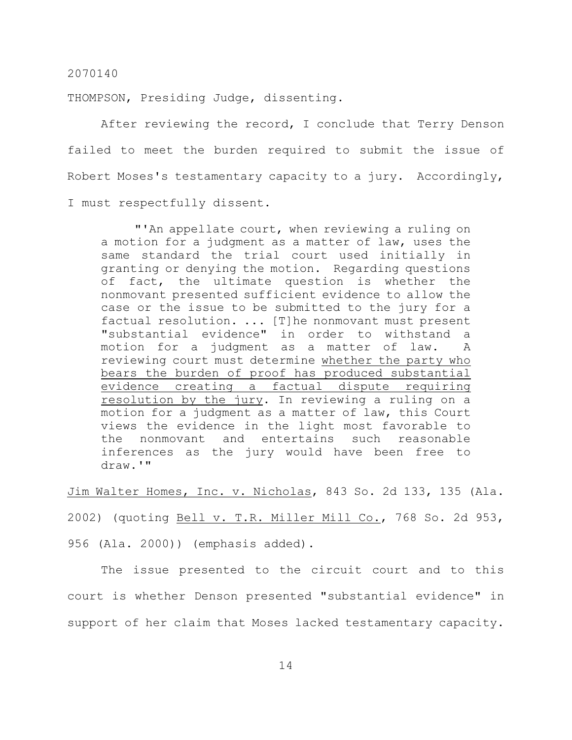THOMPSON, Presiding Judge, dissenting.

After reviewing the record, I conclude that Terry Denson failed to meet the burden required to submit the issue of Robert Moses's testamentary capacity to a jury. Accordingly, I must respectfully dissent.

"'An appellate court, when reviewing a ruling on a motion for a judgment as a matter of law, uses the same standard the trial court used initially in granting or denying the motion. Regarding questions of fact, the ultimate question is whether the nonmovant presented sufficient evidence to allow the case or the issue to be submitted to the jury for a factual resolution. ... [T]he nonmovant must present "substantial evidence" in order to withstand a motion for a judgment as a matter of law. A reviewing court must determine whether the party who bears the burden of proof has produced substantial evidence creating a factual dispute requiring resolution by the jury. In reviewing a ruling on a motion for a judgment as a matter of law, this Court views the evidence in the light most favorable to the nonmovant and entertains such reasonable inferences as the jury would have been free to draw.'"

Jim Walter Homes, Inc. v. Nicholas, 843 So. 2d 133, 135 (Ala.

2002) (quoting Bell v. T.R. Miller Mill Co., 768 So. 2d 953,

956 (Ala. 2000)) (emphasis added).

The issue presented to the circuit court and to this court is whether Denson presented "substantial evidence" in support of her claim that Moses lacked testamentary capacity.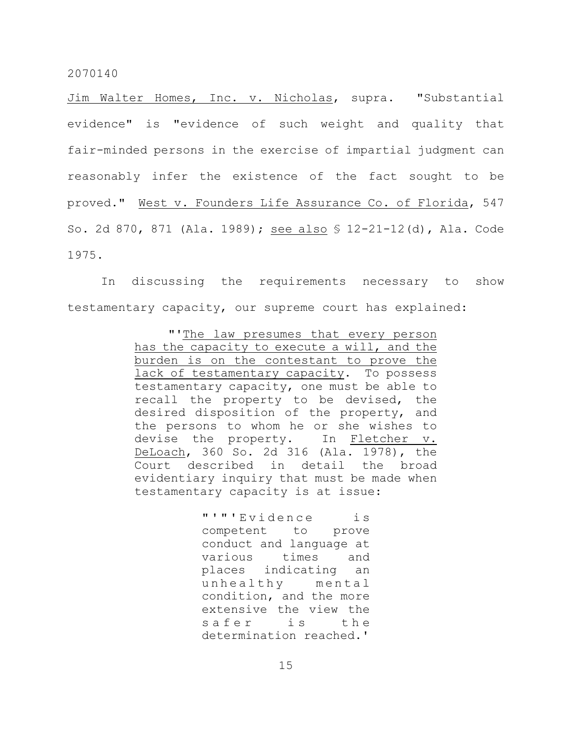Jim Walter Homes, Inc. v. Nicholas, supra. "Substantial evidence" is "evidence of such weight and quality that fair-minded persons in the exercise of impartial judgment can reasonably infer the existence of the fact sought to be proved." West v. Founders Life Assurance Co. of Florida, 547 So. 2d 870, 871 (Ala. 1989); see also § 12-21-12(d), Ala. Code 1975.

In discussing the requirements necessary to show testamentary capacity, our supreme court has explained:

> "'The law presumes that every person has the capacity to execute a will, and the burden is on the contestant to prove the lack of testamentary capacity. To possess testamentary capacity, one must be able to recall the property to be devised, the desired disposition of the property, and the persons to whom he or she wishes to devise the property. In Fletcher v. DeLoach, 360 So. 2d 316 (Ala. 1978), the Court described in detail the broad evidentiary inquiry that must be made when testamentary capacity is at issue:

> > "'"'Evidence is competent to prove conduct and language at various times and places indicating an unhealthy mental condition, and the more extensive the view the safer is the determination reached.'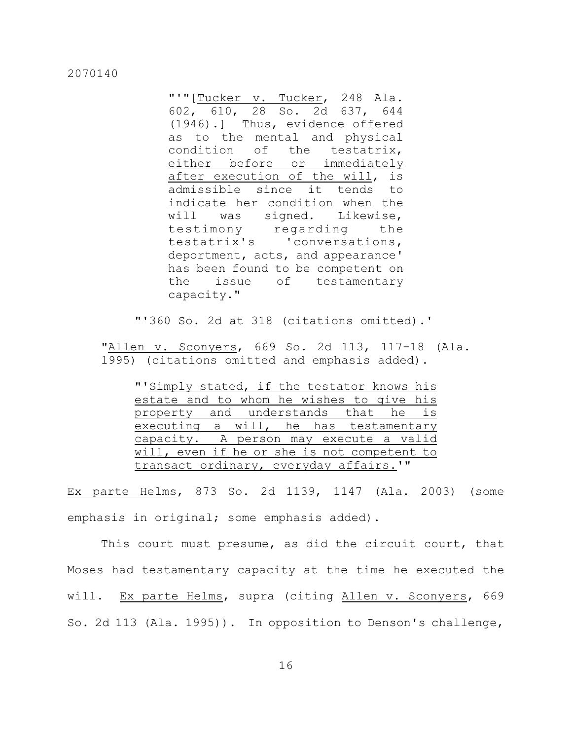"'"[Tucker v. Tucker, 248 Ala. 602, 610, 28 So. 2d 637, 644 (1946).] Thus, evidence offered as to the mental and physical condition of the testatrix, either before or immediately after execution of the will, is admissible since it tends to indicate her condition when the will was signed. Likewise, testimony regarding the testatrix's 'conversations, deportment, acts, and appearance' has been found to be competent on the issue of testamentary capacity."

"'360 So. 2d at 318 (citations omitted).'

"Allen v. Sconyers, 669 So. 2d 113, 117-18 (Ala. 1995) (citations omitted and emphasis added).

"'Simply stated, if the testator knows his estate and to whom he wishes to give his property and understands that he is executing a will, he has testamentary capacity. A person may execute a valid will, even if he or she is not competent to transact ordinary, everyday affairs.'"

Ex parte Helms, 873 So. 2d 1139, 1147 (Ala. 2003) (some emphasis in original; some emphasis added).

This court must presume, as did the circuit court, that Moses had testamentary capacity at the time he executed the will. Ex parte Helms, supra (citing Allen v. Sconyers, 669 So. 2d 113 (Ala. 1995)). In opposition to Denson's challenge,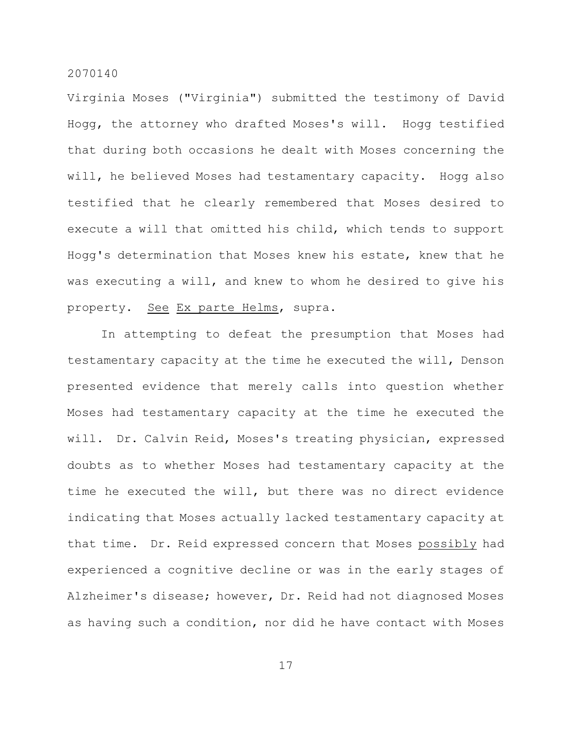Virginia Moses ("Virginia") submitted the testimony of David Hogg, the attorney who drafted Moses's will. Hogg testified that during both occasions he dealt with Moses concerning the will, he believed Moses had testamentary capacity. Hogg also testified that he clearly remembered that Moses desired to execute a will that omitted his child, which tends to support Hogg's determination that Moses knew his estate, knew that he was executing a will, and knew to whom he desired to give his property. See Ex parte Helms, supra.

In attempting to defeat the presumption that Moses had testamentary capacity at the time he executed the will, Denson presented evidence that merely calls into question whether Moses had testamentary capacity at the time he executed the will. Dr. Calvin Reid, Moses's treating physician, expressed doubts as to whether Moses had testamentary capacity at the time he executed the will, but there was no direct evidence indicating that Moses actually lacked testamentary capacity at that time. Dr. Reid expressed concern that Moses possibly had experienced a cognitive decline or was in the early stages of Alzheimer's disease; however, Dr. Reid had not diagnosed Moses as having such a condition, nor did he have contact with Moses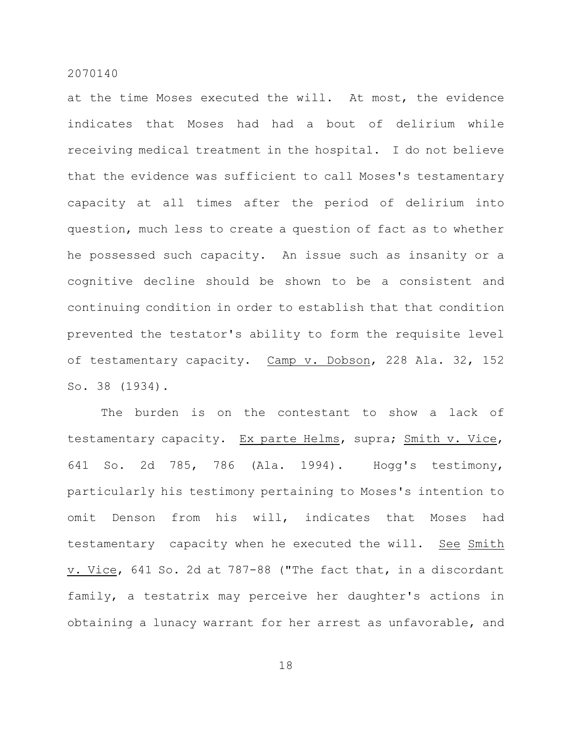at the time Moses executed the will. At most, the evidence indicates that Moses had had a bout of delirium while receiving medical treatment in the hospital. I do not believe that the evidence was sufficient to call Moses's testamentary capacity at all times after the period of delirium into question, much less to create a question of fact as to whether he possessed such capacity. An issue such as insanity or a cognitive decline should be shown to be a consistent and continuing condition in order to establish that that condition prevented the testator's ability to form the requisite level of testamentary capacity. Camp v. Dobson, 228 Ala. 32, 152 So. 38 (1934).

The burden is on the contestant to show a lack of testamentary capacity. Ex parte Helms, supra; Smith v. Vice, 641 So. 2d 785, 786 (Ala. 1994). Hogg's testimony, particularly his testimony pertaining to Moses's intention to omit Denson from his will, indicates that Moses had testamentary capacity when he executed the will. See Smith v. Vice, 641 So. 2d at 787-88 ("The fact that, in a discordant family, a testatrix may perceive her daughter's actions in obtaining a lunacy warrant for her arrest as unfavorable, and